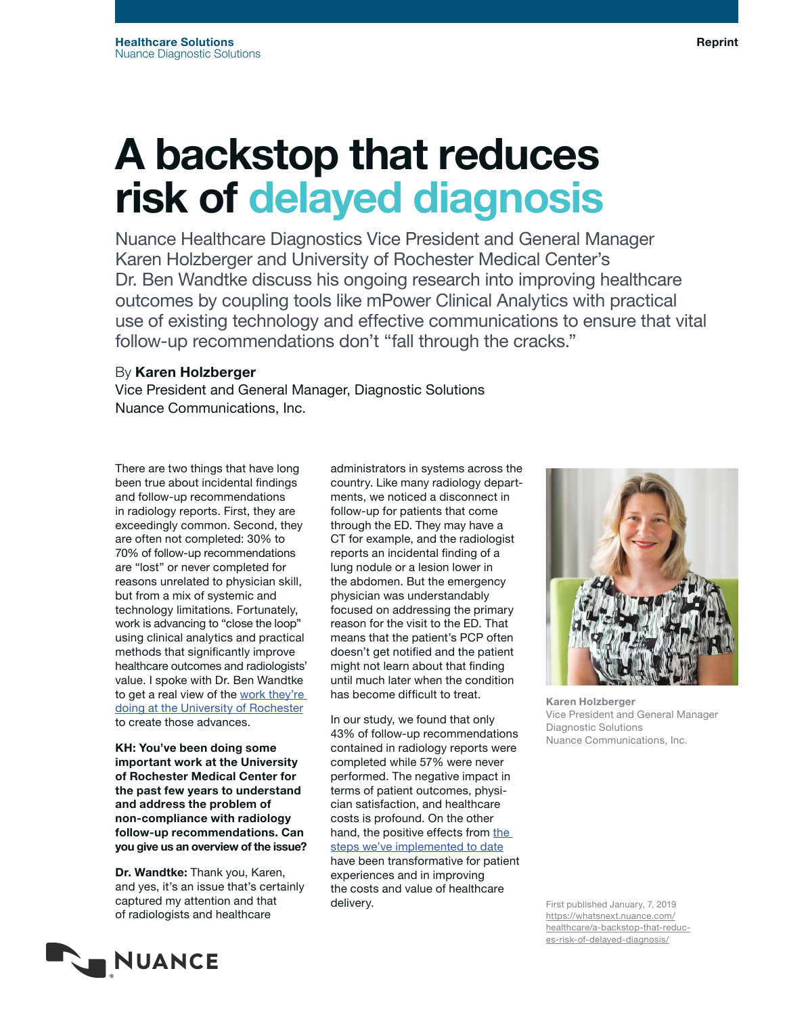# A backstop that reduces risk of delayed diagnosis

Nuance Healthcare Diagnostics Vice President and General Manager Karen Holzberger and University of Rochester Medical Center's Dr. Ben Wandtke discuss his ongoing research into improving healthcare outcomes by coupling tools like mPower Clinical Analytics with practical use of existing technology and effective communications to ensure that vital follow-up recommendations don't "fall through the cracks."

## By Karen Holzberger

Vice President and General Manager, Diagnostic Solutions Nuance Communications, Inc.

There are two things that have long been true about incidental findings and follow-up recommendations in radiology reports. First, they are exceedingly common. Second, they are often not completed: 30% to 70% of follow-up recommendations are "lost" or never completed for reasons unrelated to physician skill, but from a mix of systemic and technology limitations. Fortunately, work is advancing to "close the loop" using clinical analytics and practical methods that significantly improve healthcare outcomes and radiologists' value. I spoke with Dr. Ben Wandtke to get a real view of the work they're [doing at the University of Rochester](https://www.nuance.com/about-us/newsroom/press-releases/2019/URMC-Reduces-Risk-of-Delayed-Diagnoses-with-Nuance-Diagnostic-Solutions.html?_ga=2.153759870.711509994.1547068096-840044211.1525798332) to create those advances.

KH: You've been doing some important work at the University of Rochester Medical Center for the past few years to understand and address the problem of non-compliance with radiology follow-up recommendations. Can you give us an overview of the issue?

Dr. Wandtke: Thank you, Karen, and yes, it's an issue that's certainly captured my attention and that of radiologists and healthcare

**NUANCE** 

administrators in systems across the country. Like many radiology departments, we noticed a disconnect in follow-up for patients that come through the ED. They may have a CT for example, and the radiologist reports an incidental finding of a lung nodule or a lesion lower in the abdomen. But the emergency physician was understandably focused on addressing the primary reason for the visit to the ED. That means that the patient's PCP often doesn't get notified and the patient might not learn about that finding until much later when the condition has become difficult to treat.

In our study, we found that only 43% of follow-up recommendations contained in radiology reports were completed while 57% were never performed. The negative impact in terms of patient outcomes, physician satisfaction, and healthcare costs is profound. On the other hand, [the](https://www.nuance.com/content/dam/nuance/en_us/collateral/healthcare/case-study/cs-university-of-rochester-en-us.pdf?_ga=2.153759870.711509994.1547068096-840044211.1525798332) positive effects from the [steps we've implemented to date](https://www.nuance.com/content/dam/nuance/en_us/collateral/healthcare/case-study/cs-university-of-rochester-en-us.pdf?_ga=2.153759870.711509994.1547068096-840044211.1525798332) have been transformative for patient experiences and in improving the costs and value of healthcare

delivery.

Karen Holzberger Vice President and General Manager Diagnostic Solutions Nuance Communications, Inc.



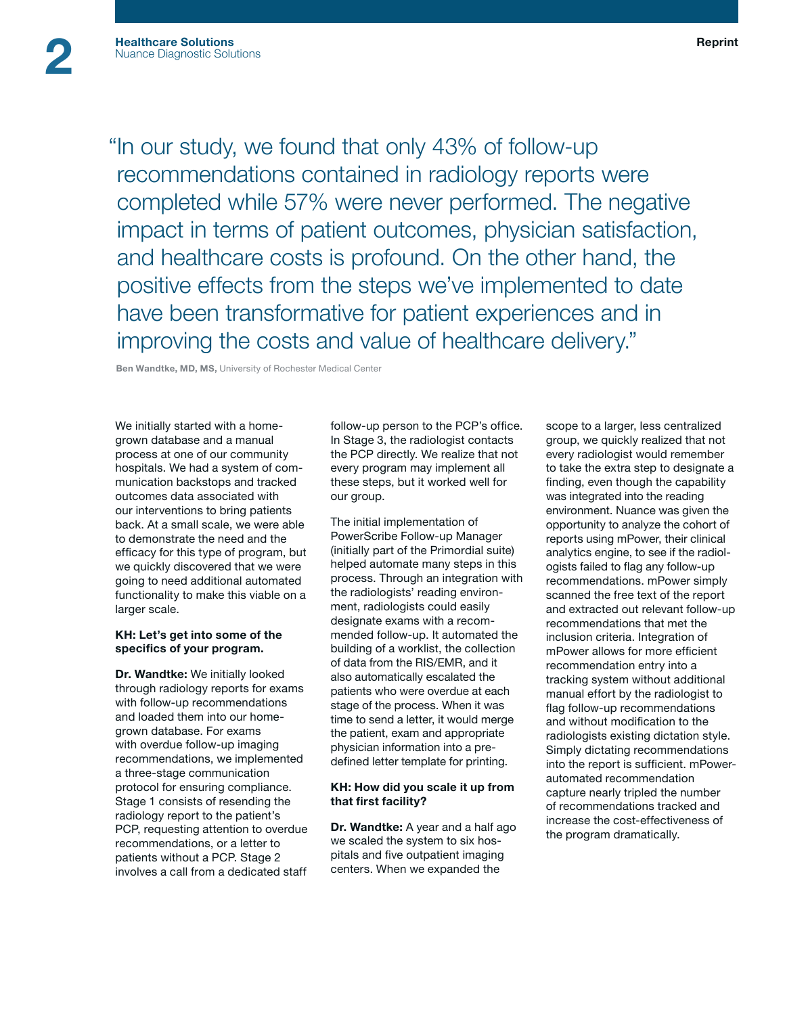"In our study, we found that only 43% of follow-up recommendations contained in radiology reports were completed while 57% were never performed. The negative impact in terms of patient outcomes, physician satisfaction, and healthcare costs is profound. On the other hand, the positive effects from the steps we've implemented to date have been transformative for patient experiences and in improving the costs and value of healthcare delivery."

Ben Wandtke, MD, MS, University of Rochester Medical Center

We initially started with a homegrown database and a manual process at one of our community hospitals. We had a system of communication backstops and tracked outcomes data associated with our interventions to bring patients back. At a small scale, we were able to demonstrate the need and the efficacy for this type of program, but we quickly discovered that we were going to need additional automated functionality to make this viable on a larger scale.

### KH: Let's get into some of the specifics of your program.

Dr. Wandtke: We initially looked through radiology reports for exams with follow-up recommendations and loaded them into our homegrown database. For exams with overdue follow-up imaging recommendations, we implemented a three-stage communication protocol for ensuring compliance. Stage 1 consists of resending the radiology report to the patient's PCP, requesting attention to overdue recommendations, or a letter to patients without a PCP. Stage 2 involves a call from a dedicated staff

follow-up person to the PCP's office. In Stage 3, the radiologist contacts the PCP directly. We realize that not every program may implement all these steps, but it worked well for our group.

The initial implementation of PowerScribe Follow-up Manager (initially part of the Primordial suite) helped automate many steps in this process. Through an integration with the radiologists' reading environment, radiologists could easily designate exams with a recommended follow-up. It automated the building of a worklist, the collection of data from the RIS/EMR, and it also automatically escalated the patients who were overdue at each stage of the process. When it was time to send a letter, it would merge the patient, exam and appropriate physician information into a predefined letter template for printing.

### KH: How did you scale it up from that first facility?

Dr. Wandtke: A year and a half ago we scaled the system to six hospitals and five outpatient imaging centers. When we expanded the

scope to a larger, less centralized group, we quickly realized that not every radiologist would remember to take the extra step to designate a finding, even though the capability was integrated into the reading environment. Nuance was given the opportunity to analyze the cohort of reports using mPower, their clinical analytics engine, to see if the radiologists failed to flag any follow-up recommendations. mPower simply scanned the free text of the report and extracted out relevant follow-up recommendations that met the inclusion criteria. Integration of mPower allows for more efficient recommendation entry into a tracking system without additional manual effort by the radiologist to flag follow-up recommendations and without modification to the radiologists existing dictation style. Simply dictating recommendations into the report is sufficient. mPowerautomated recommendation capture nearly tripled the number of recommendations tracked and increase the cost-effectiveness of the program dramatically.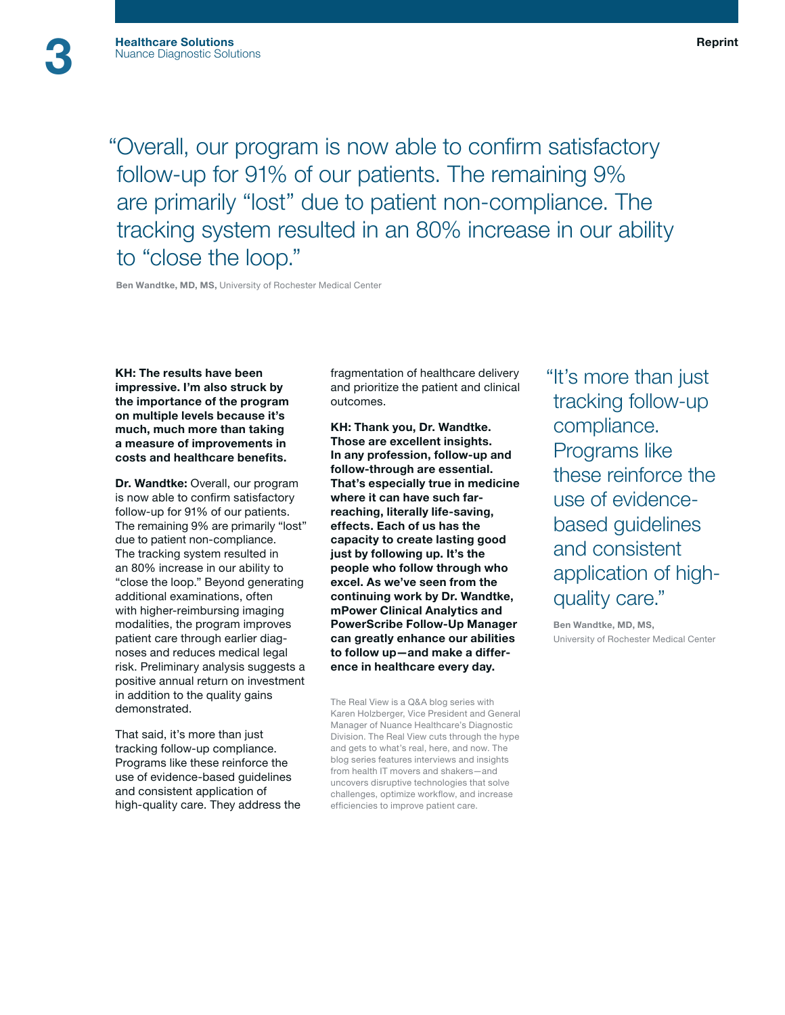"Overall, our program is now able to confirm satisfactory follow-up for 91% of our patients. The remaining 9% are primarily "lost" due to patient non-compliance. The tracking system resulted in an 80% increase in our ability to "close the loop."

Ben Wandtke, MD, MS, University of Rochester Medical Center

KH: The results have been impressive. I'm also struck by the importance of the program on multiple levels because it's much, much more than taking a measure of improvements in costs and healthcare benefits.

Dr. Wandtke: Overall, our program is now able to confirm satisfactory follow-up for 91% of our patients. The remaining 9% are primarily "lost" due to patient non-compliance. The tracking system resulted in an 80% increase in our ability to "close the loop." Beyond generating additional examinations, often with higher-reimbursing imaging modalities, the program improves patient care through earlier diagnoses and reduces medical legal risk. Preliminary analysis suggests a positive annual return on investment in addition to the quality gains demonstrated.

That said, it's more than just tracking follow-up compliance. Programs like these reinforce the use of evidence-based guidelines and consistent application of high-quality care. They address the fragmentation of healthcare delivery and prioritize the patient and clinical outcomes.

KH: Thank you, Dr. Wandtke. Those are excellent insights. In any profession, follow-up and follow-through are essential. That's especially true in medicine where it can have such farreaching, literally life-saving, effects. Each of us has the capacity to create lasting good just by following up. It's the people who follow through who excel. As we've seen from the continuing work by Dr. Wandtke, mPower Clinical Analytics and PowerScribe Follow-Up Manager can greatly enhance our abilities to follow up—and make a difference in healthcare every day.

The Real View is a Q&A blog series with Karen Holzberger, Vice President and General Manager of Nuance Healthcare's Diagnostic Division. The Real View cuts through the hype and gets to what's real, here, and now. The blog series features interviews and insights from health IT movers and shakers—and uncovers disruptive technologies that solve challenges, optimize workflow, and increase efficiencies to improve patient care.

"It's more than just tracking follow-up compliance. Programs like these reinforce the use of evidencebased guidelines and consistent application of highquality care."

 Ben Wandtke, MD, MS, University of Rochester Medical Center